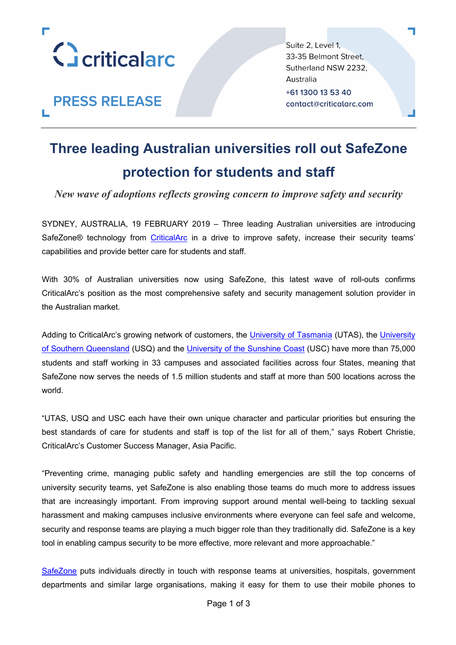

**PRESS RELEASE** 

Suite 2, Level 1, 33-35 Belmont Street. Sutherland NSW 2232, Australia +61 1300 13 53 40 contact@criticalarc.com

## **Three leading Australian universities roll out SafeZone protection for students and staff**

*New wave of adoptions reflects growing concern to improve safety and security*

SYDNEY, AUSTRALIA, 19 FEBRUARY 2019 – Three leading Australian universities are introducing SafeZone<sup>®</sup> technology from CriticalArc in a drive to improve safety, increase their security teams' capabilities and provide better care for students and staff.

With 30% of Australian universities now using SafeZone, this latest wave of roll-outs confirms CriticalArc's position as the most comprehensive safety and security management solution provider in the Australian market.

Adding to CriticalArc's growing network of customers, the University of Tasmania (UTAS), the University of Southern Queensland (USQ) and the University of the Sunshine Coast (USC) have more than 75,000 students and staff working in 33 campuses and associated facilities across four States, meaning that SafeZone now serves the needs of 1.5 million students and staff at more than 500 locations across the world.

"UTAS, USQ and USC each have their own unique character and particular priorities but ensuring the best standards of care for students and staff is top of the list for all of them," says Robert Christie, CriticalArc's Customer Success Manager, Asia Pacific.

"Preventing crime, managing public safety and handling emergencies are still the top concerns of university security teams, yet SafeZone is also enabling those teams do much more to address issues that are increasingly important. From improving support around mental well-being to tackling sexual harassment and making campuses inclusive environments where everyone can feel safe and welcome, security and response teams are playing a much bigger role than they traditionally did. SafeZone is a key tool in enabling campus security to be more effective, more relevant and more approachable."

SafeZone puts individuals directly in touch with response teams at universities, hospitals, government departments and similar large organisations, making it easy for them to use their mobile phones to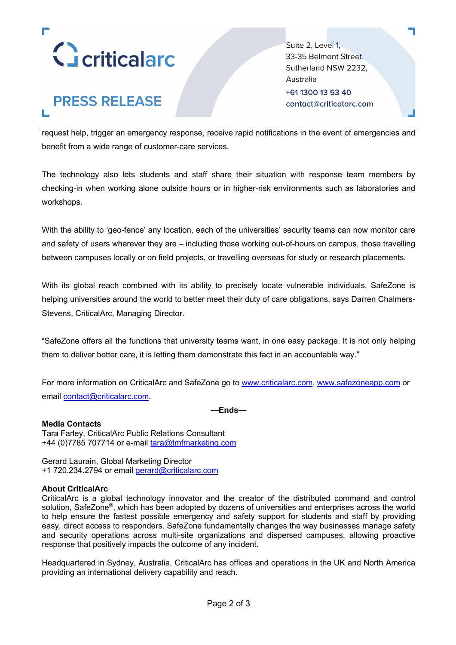

# **PRESS RELEASE**

Suite 2, Level 1, 33-35 Belmont Street. Sutherland NSW 2232, Australia +61 1300 13 53 40 contact@criticalarc.com

request help, trigger an emergency response, receive rapid notifications in the event of emergencies and benefit from a wide range of customer-care services.

The technology also lets students and staff share their situation with response team members by checking-in when working alone outside hours or in higher-risk environments such as laboratories and workshops.

With the ability to 'geo-fence' any location, each of the universities' security teams can now monitor care and safety of users wherever they are – including those working out-of-hours on campus, those travelling between campuses locally or on field projects, or travelling overseas for study or research placements.

With its global reach combined with its ability to precisely locate vulnerable individuals, SafeZone is helping universities around the world to better meet their duty of care obligations, says Darren Chalmers-Stevens, CriticalArc, Managing Director.

"SafeZone offers all the functions that university teams want, in one easy package. It is not only helping them to deliver better care, it is letting them demonstrate this fact in an accountable way."

For more information on CriticalArc and SafeZone go to www.criticalarc.com, www.safezoneapp.com or email contact@criticalarc.com.

**—Ends—**

#### **Media Contacts**

Tara Farley, CriticalArc Public Relations Consultant +44 (0)7785 707714 or e-mail tara@tmfmarketing.com

Gerard Laurain, Global Marketing Director +1 720.234.2794 or email gerard@criticalarc.com

#### **About CriticalArc**

CriticalArc is a global technology innovator and the creator of the distributed command and control solution, SafeZone®, which has been adopted by dozens of universities and enterprises across the world to help ensure the fastest possible emergency and safety support for students and staff by providing easy, direct access to responders. SafeZone fundamentally changes the way businesses manage safety and security operations across multi-site organizations and dispersed campuses, allowing proactive response that positively impacts the outcome of any incident.

Headquartered in Sydney, Australia, CriticalArc has offices and operations in the UK and North America providing an international delivery capability and reach.